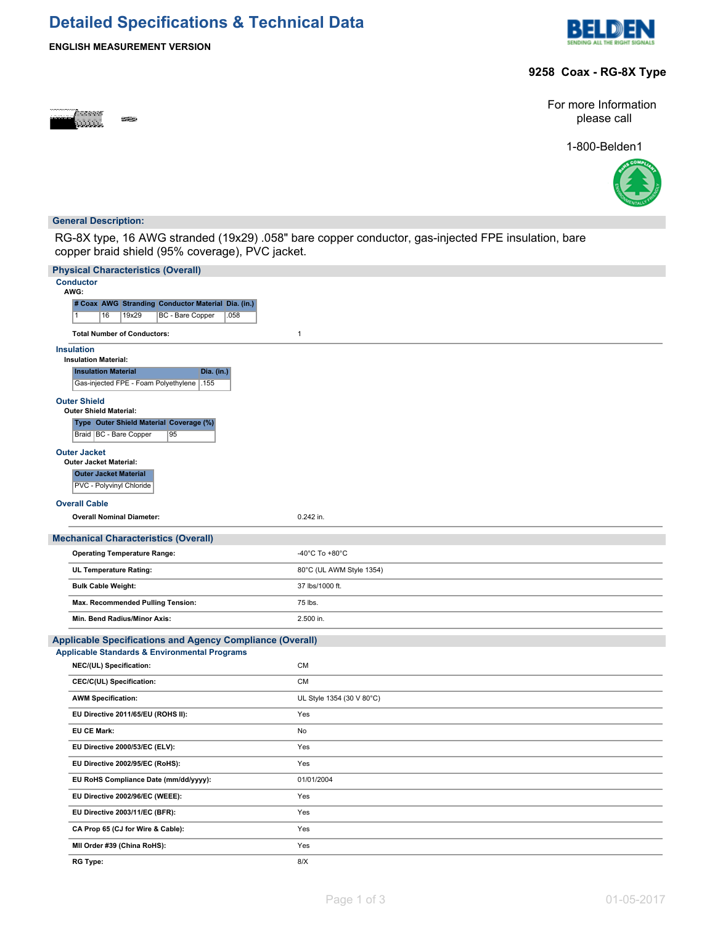# **Detailed Specifications & Technical Data**





#### **9258 Coax - RG-8X Type**



For more Information please call

1-800-Belden1



#### **General Description:**

RG-8X type, 16 AWG stranded (19x29) .058" bare copper conductor, gas-injected FPE insulation, bare copper braid shield (95% coverage), PVC jacket.

| <b>Physical Characteristics (Overall)</b>                                 |                           |
|---------------------------------------------------------------------------|---------------------------|
| <b>Conductor</b><br>AWG:                                                  |                           |
| # Coax AWG Stranding Conductor Material Dia. (in.)                        |                           |
| $\overline{1}$<br>16<br>19x29<br><b>BC</b> - Bare Copper<br>.058          |                           |
| <b>Total Number of Conductors:</b>                                        | $\mathbf{1}$              |
| <b>Insulation</b>                                                         |                           |
| <b>Insulation Material:</b><br><b>Insulation Material</b><br>Dia. (in.)   |                           |
| Gas-injected FPE - Foam Polyethylene 155                                  |                           |
| <b>Outer Shield</b>                                                       |                           |
| <b>Outer Shield Material:</b>                                             |                           |
| Type Outer Shield Material Coverage (%)<br>Braid   BC - Bare Copper<br>95 |                           |
| <b>Outer Jacket</b><br><b>Outer Jacket Material:</b>                      |                           |
| <b>Outer Jacket Material</b>                                              |                           |
| PVC - Polyvinyl Chloride                                                  |                           |
| <b>Overall Cable</b>                                                      |                           |
| <b>Overall Nominal Diameter:</b>                                          | 0.242 in.                 |
| <b>Mechanical Characteristics (Overall)</b>                               |                           |
| <b>Operating Temperature Range:</b>                                       | -40°C To +80°C            |
| <b>UL Temperature Rating:</b>                                             | 80°C (UL AWM Style 1354)  |
| <b>Bulk Cable Weight:</b>                                                 | 37 lbs/1000 ft.           |
| Max. Recommended Pulling Tension:                                         | 75 lbs.                   |
| Min. Bend Radius/Minor Axis:                                              | 2.500 in.                 |
| <b>Applicable Specifications and Agency Compliance (Overall)</b>          |                           |
| <b>Applicable Standards &amp; Environmental Programs</b>                  |                           |
| NEC/(UL) Specification:                                                   | <b>CM</b>                 |
| CEC/C(UL) Specification:                                                  | <b>CM</b>                 |
| <b>AWM Specification:</b>                                                 | UL Style 1354 (30 V 80°C) |
| EU Directive 2011/65/EU (ROHS II):                                        | Yes                       |
| <b>EU CE Mark:</b>                                                        | No                        |
| EU Directive 2000/53/EC (ELV):                                            | Yes                       |
| EU Directive 2002/95/EC (RoHS):                                           | Yes                       |
| EU RoHS Compliance Date (mm/dd/yyyy):                                     | 01/01/2004                |
| EU Directive 2002/96/EC (WEEE):                                           | Yes                       |
| EU Directive 2003/11/EC (BFR):                                            | Yes                       |
| CA Prop 65 (CJ for Wire & Cable):                                         | Yes                       |
| MII Order #39 (China RoHS):                                               | Yes                       |
| <b>RG Type:</b>                                                           | 8/X                       |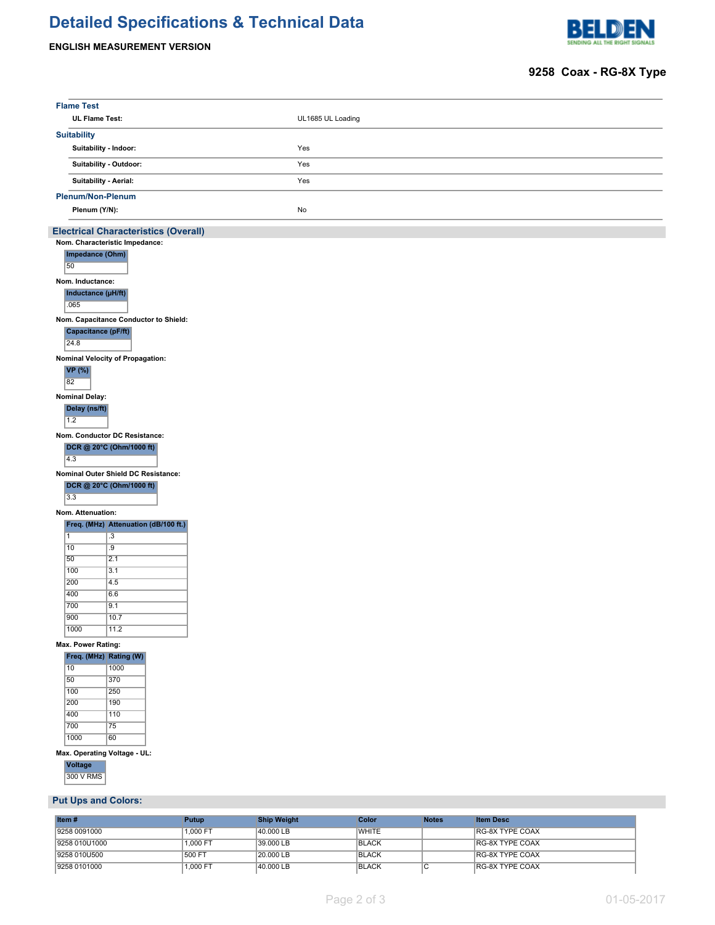# **Detailed Specifications & Technical Data**

#### **ENGLISH MEASUREMENT VERSION**



### **9258 Coax - RG-8X Type**

| <b>Flame Test</b>                                               |                   |              |                  |  |
|-----------------------------------------------------------------|-------------------|--------------|------------------|--|
| <b>UL Flame Test:</b>                                           | UL1685 UL Loading |              |                  |  |
| <b>Suitability</b>                                              |                   |              |                  |  |
| Suitability - Indoor:                                           | Yes               |              |                  |  |
| Suitability - Outdoor:                                          | Yes               |              |                  |  |
|                                                                 |                   |              |                  |  |
| Suitability - Aerial:                                           | Yes               |              |                  |  |
| <b>Plenum/Non-Plenum</b>                                        |                   |              |                  |  |
| Plenum (Y/N):                                                   | No                |              |                  |  |
| <b>Electrical Characteristics (Overall)</b>                     |                   |              |                  |  |
| Nom. Characteristic Impedance:                                  |                   |              |                  |  |
| Impedance (Ohm)<br>50                                           |                   |              |                  |  |
| Nom. Inductance:                                                |                   |              |                  |  |
| Inductance (µH/ft)                                              |                   |              |                  |  |
| .065                                                            |                   |              |                  |  |
| Nom. Capacitance Conductor to Shield:                           |                   |              |                  |  |
| Capacitance (pF/ft)                                             |                   |              |                  |  |
| 24.8                                                            |                   |              |                  |  |
| Nominal Velocity of Propagation:                                |                   |              |                  |  |
| <b>VP</b> (%)<br>82                                             |                   |              |                  |  |
| <b>Nominal Delay:</b>                                           |                   |              |                  |  |
| Delay (ns/ft)                                                   |                   |              |                  |  |
| 1.2                                                             |                   |              |                  |  |
| Nom. Conductor DC Resistance:                                   |                   |              |                  |  |
| DCR @ 20°C (Ohm/1000 ft)                                        |                   |              |                  |  |
| 4.3                                                             |                   |              |                  |  |
| Nominal Outer Shield DC Resistance:<br>DCR @ 20°C (Ohm/1000 ft) |                   |              |                  |  |
| 3.3                                                             |                   |              |                  |  |
| Nom. Attenuation:                                               |                   |              |                  |  |
| Freq. (MHz) Attenuation (dB/100 ft.)                            |                   |              |                  |  |
| $\overline{.3}$<br>$\mathbf{1}$                                 |                   |              |                  |  |
| 10<br>.9<br>50<br>2.1                                           |                   |              |                  |  |
| 100<br>3.1                                                      |                   |              |                  |  |
| 200<br>4.5                                                      |                   |              |                  |  |
| 400<br>6.6                                                      |                   |              |                  |  |
| 700<br>9.1<br>900<br>10.7                                       |                   |              |                  |  |
| 1000<br>11.2                                                    |                   |              |                  |  |
| Max. Power Rating:                                              |                   |              |                  |  |
| Freq. (MHz) Rating (W)                                          |                   |              |                  |  |
| 10<br>1000                                                      |                   |              |                  |  |
| 50<br>370<br>100<br>250                                         |                   |              |                  |  |
| 200<br>190                                                      |                   |              |                  |  |
| 400<br>110                                                      |                   |              |                  |  |
| 700<br>$\overline{75}$                                          |                   |              |                  |  |
| 1000<br>60                                                      |                   |              |                  |  |
| Max. Operating Voltage - UL:<br>Voltage                         |                   |              |                  |  |
| 300 V RMS                                                       |                   |              |                  |  |
|                                                                 |                   |              |                  |  |
| <b>Put Ups and Colors:</b>                                      |                   |              |                  |  |
| Item#<br><b>Ship Weight</b><br><b>Putup</b>                     | Color             | <b>Notes</b> | <b>Item Desc</b> |  |

| ∐tem #        | Putup    | <b>Ship Weight</b> | Color        | Notes | <b>Item Desc</b>       |
|---------------|----------|--------------------|--------------|-------|------------------------|
| 9258 0091000  | 1.000 FT | 40.000 LB          | <b>WHITE</b> |       | <b>RG-8X TYPE COAX</b> |
| 9258 010U1000 | 1.000 FT | 39.000 LB          | <b>BLACK</b> |       | <b>RG-8X TYPE COAX</b> |
| 9258 010U500  | 500 FT   | 20,000 LB          | <b>BLACK</b> |       | <b>RG-8X TYPE COAX</b> |
| 9258 0101000  | 1.000 FT | 40.000 LB          | <b>BLACK</b> |       | <b>RG-8X TYPE COAX</b> |